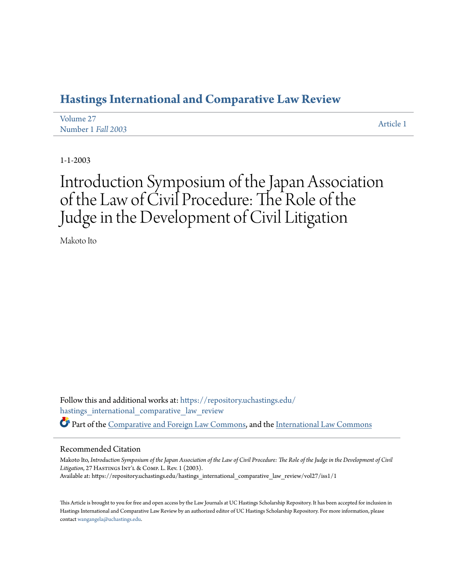## **[Hastings International and Comparative Law Review](https://repository.uchastings.edu/hastings_international_comparative_law_review?utm_source=repository.uchastings.edu%2Fhastings_international_comparative_law_review%2Fvol27%2Fiss1%2F1&utm_medium=PDF&utm_campaign=PDFCoverPages)**

| Volume 27          | Article 1 |
|--------------------|-----------|
| Number 1 Fall 2003 |           |

1-1-2003

# Introduction Symposium of the Japan Association of the Law of Civil Procedure: The Role of the Judge in the Development of Civil Litigation

Makoto Ito

Follow this and additional works at: [https://repository.uchastings.edu/](https://repository.uchastings.edu/hastings_international_comparative_law_review?utm_source=repository.uchastings.edu%2Fhastings_international_comparative_law_review%2Fvol27%2Fiss1%2F1&utm_medium=PDF&utm_campaign=PDFCoverPages) [hastings\\_international\\_comparative\\_law\\_review](https://repository.uchastings.edu/hastings_international_comparative_law_review?utm_source=repository.uchastings.edu%2Fhastings_international_comparative_law_review%2Fvol27%2Fiss1%2F1&utm_medium=PDF&utm_campaign=PDFCoverPages) Part of the [Comparative and Foreign Law Commons](http://network.bepress.com/hgg/discipline/836?utm_source=repository.uchastings.edu%2Fhastings_international_comparative_law_review%2Fvol27%2Fiss1%2F1&utm_medium=PDF&utm_campaign=PDFCoverPages), and the [International Law Commons](http://network.bepress.com/hgg/discipline/609?utm_source=repository.uchastings.edu%2Fhastings_international_comparative_law_review%2Fvol27%2Fiss1%2F1&utm_medium=PDF&utm_campaign=PDFCoverPages)

### Recommended Citation

Makoto Ito, *Introduction Symposium of the Japan Association of the Law of Civil Procedure: The Role of the Judge in the Development of Civil* Litigation, 27 HASTINGS INT'L & COMP. L. Rev. 1 (2003). Available at: https://repository.uchastings.edu/hastings\_international\_comparative\_law\_review/vol27/iss1/1

This Article is brought to you for free and open access by the Law Journals at UC Hastings Scholarship Repository. It has been accepted for inclusion in Hastings International and Comparative Law Review by an authorized editor of UC Hastings Scholarship Repository. For more information, please contact [wangangela@uchastings.edu](mailto:wangangela@uchastings.edu).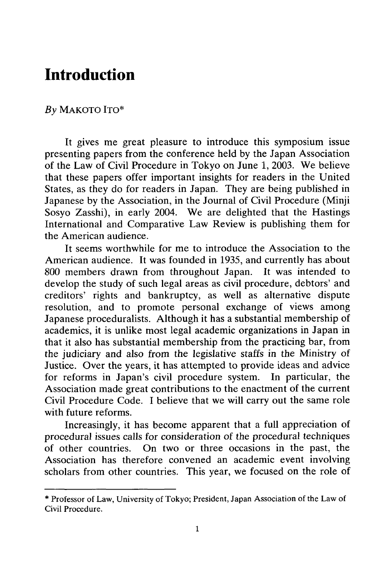## **Introduction**

#### *By* MAKOTO ITO\*

It gives me great pleasure to introduce this symposium issue presenting papers from the conference held by the Japan Association of the Law of Civil Procedure in Tokyo on June 1, 2003. We believe that these papers offer important insights for readers in the United States, as they do for readers in Japan. They are being published in Japanese by the Association, in the Journal of Civil Procedure (Minji Sosyo Zasshi), in early 2004. We are delighted that the Hastings International and Comparative Law Review is publishing them for the American audience.

It seems worthwhile for me to introduce the Association to the American audience. It was founded in 1935, and currently has about **800** members drawn from throughout Japan. It was intended to develop the study of such legal areas as civil procedure, debtors' and creditors' rights and bankruptcy, as well as alternative dispute resolution, and to promote personal exchange of views among Japanese proceduralists. Although it has a substantial membership of academics, it is unlike most legal academic organizations in Japan in that it also has substantial membership from the practicing bar, from the judiciary and also from the legislative staffs in the Ministry of Justice. Over the years, it has attempted to provide ideas and advice for reforms in Japan's civil procedure system. In particular, the Association made great contributions to the enactment of the current Civil Procedure Code. I believe that we will carry out the same role with future reforms.

Increasingly, it has become apparent that a full appreciation of procedural issues calls for consideration of the procedural techniques of other countries. On two or three occasions in the past, the Association has therefore convened an academic event involving scholars from other countries. This year, we focused on the role of

<sup>\*</sup> Professor of Law, University of Tokyo; President, Japan Association of the Law of Civil Procedure.